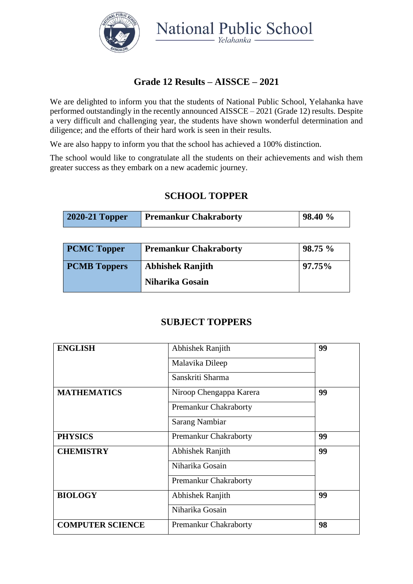

National Public School

# **Grade 12 Results – AISSCE – 2021**

We are delighted to inform you that the students of National Public School, Yelahanka have performed outstandingly in the recently announced AISSCE – 2021 (Grade 12) results. Despite a very difficult and challenging year, the students have shown wonderful determination and diligence; and the efforts of their hard work is seen in their results.

We are also happy to inform you that the school has achieved a 100% distinction.

The school would like to congratulate all the students on their achievements and wish them greater success as they embark on a new academic journey.

## **SCHOOL TOPPER**

| <b>2020-21 Topper</b> | <b>Premankur Chakraborty</b> | 98.40 % |
|-----------------------|------------------------------|---------|
|-----------------------|------------------------------|---------|

| <b>PCMC Topper</b>  | <b>Premankur Chakraborty</b> | 98.75%    |
|---------------------|------------------------------|-----------|
| <b>PCMB Toppers</b> | <b>Abhishek Ranjith</b>      | $97.75\%$ |
|                     | Niharika Gosain              |           |

#### **SUBJECT TOPPERS**

| <b>ENGLISH</b>          | Abhishek Ranjith        | 99 |
|-------------------------|-------------------------|----|
|                         | Malavika Dileep         |    |
|                         | Sanskriti Sharma        |    |
| <b>MATHEMATICS</b>      | Niroop Chengappa Karera | 99 |
|                         | Premankur Chakraborty   |    |
|                         | <b>Sarang Nambiar</b>   |    |
| <b>PHYSICS</b>          | Premankur Chakraborty   | 99 |
| <b>CHEMISTRY</b>        | Abhishek Ranjith        | 99 |
|                         | Niharika Gosain         |    |
|                         | Premankur Chakraborty   |    |
| <b>BIOLOGY</b>          | Abhishek Ranjith        | 99 |
|                         | Niharika Gosain         |    |
| <b>COMPUTER SCIENCE</b> | Premankur Chakraborty   | 98 |